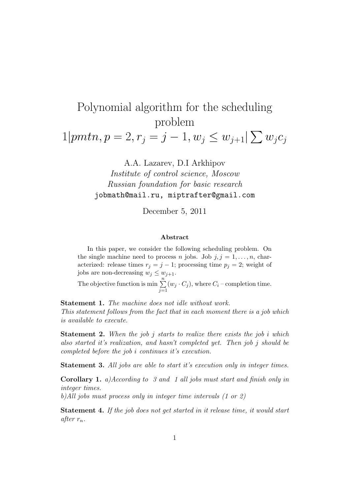## Polynomial algorithm for the scheduling problem

 $1|pmn, p = 2, r_j = j - 1, w_j \leq w_{j+1} | \sum w_j c_j$ 

A.A. Lazarev, D.I Arkhipov Institute of control science, Moscow Russian foundation for basic research jobmath@mail.ru, miptrafter@gmail.com

December 5, 2011

## Abstract

In this paper, we consider the following scheduling problem. On the single machine need to process n jobs. Job  $j, j = 1, \ldots, n$ , characterized: release times  $r_j = j - 1$ ; processing time  $p_j = 2$ ; weight of jobs are non-decreasing  $w_j \leq w_{j+1}$ .

The objective function is min  $\sum_{n=1}^{\infty}$  $j=1$  $(w_j \cdot C_j)$ , where  $C_i$  – completion time.

Statement 1. The machine does not idle without work. This statement follows from the fact that in each moment there is a job which is available to execute.

**Statement 2.** When the job j starts to realize there exists the job i which also started it's realization, and hasn't completed yet. Then job j should be completed before the job i continues it's execution.

Statement 3. All jobs are able to start it's execution only in integer times.

Corollary 1. a)According to 3 and 1 all jobs must start and finish only in integer times.

b)All jobs must process only in integer time intervals (1 or 2)

Statement 4. If the job does not get started in it release time, it would start after  $r_n$ .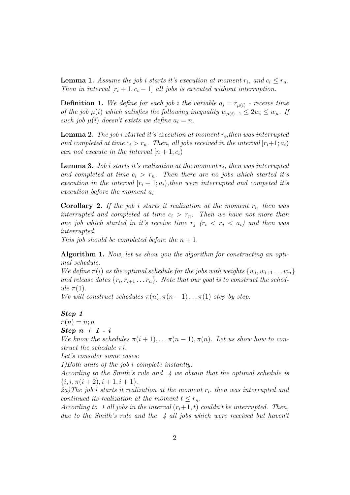**Lemma 1.** Assume the job i starts it's execution at moment  $r_i$ , and  $c_i \leq r_n$ . Then in interval  $[r_i+1, c_i-1]$  all jobs is executed without interruption.

**Definition 1.** We define for each job i the variable  $a_i = r_{\mu(i)}$  - receive time of the job  $\mu(i)$  which satisfies the following inequality  $w_{\mu(i)-1} \leq 2w_i \leq w_{\mu}$ . If such job  $\mu(i)$  doesn't exists we define  $a_i = n$ .

**Lemma 2.** The job i started it's execution at moment  $r_i$ , then was interrupted and completed at time  $c_i > r_n$ . Then, all jobs received in the interval  $[r_i+1; a_i)$ can not execute in the interval  $[n+1;c_i]$ 

**Lemma 3.** Job i starts it's realization at the moment  $r_i$ , then was interrupted and completed at time  $c_i > r_n$ . Then there are no jobs which started it's execution in the interval  $[r_i + 1; a_i]$ , then were interrupted and competed it's execution before the moment  $a_i$ 

**Corollary 2.** If the job i starts it realization at the moment  $r_i$ , then was interrupted and completed at time  $c_i > r_n$ . Then we have not more than one job which started in it's receive time  $r_i$  ( $r_i < r_j < a_i$ ) and then was interrupted.

This job should be completed before the  $n+1$ .

Algorithm 1. Now, let us show you the algorithm for constructing an optimal schedule.

We define  $\pi(i)$  as the optimal schedule for the jobs with weights  $\{w_i, w_{i+1} \dots w_n\}$ and release dates  $\{r_i, r_{i+1} \ldots r_n\}$ . Note that our goal is to construct the schedule  $\pi(1)$ .

We will construct schedules  $\pi(n), \pi(n-1) \ldots \pi(1)$  step by step.

## Step 1

 $\pi(n) = n; n$ 

Step  $n + 1 - i$ 

We know the schedules  $\pi(i+1), \ldots, \pi(n-1), \pi(n)$ . Let us show how to construct the schedule  $\pi i$ .

Let's consider some cases:

1)Both units of the job i complete instantly.

According to the Smith's rule and 4 we obtain that the optimal schedule is  $\{i, i, \pi(i+2), i+1, i+1\}.$ 

2a)The job i starts it realization at the moment  $r_i$ , then was interrupted and continued its realization at the moment  $t \leq r_n$ .

According to 1 all jobs in the interval  $(r_i+1, t)$  couldn't be interrupted. Then, due to the Smith's rule and the  $\frac{1}{4}$  all jobs which were received but haven't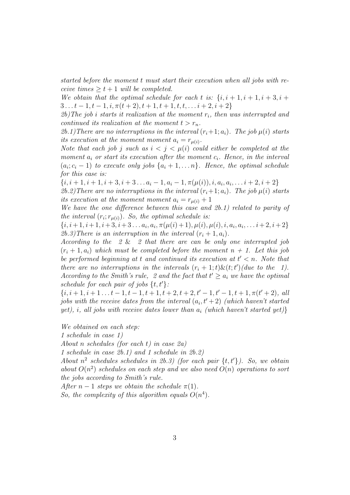started before the moment t must start their execution when all jobs with receive times  $\geq t+1$  will be completed.

We obtain that the optimal schedule for each t is:  $\{i, i+1, i+1, i+3, i+1\}$  $3... t - 1, t - 1, i, \pi(t + 2), t + 1, t + 1, t, t, \ldots i + 2, i + 2\}$ 

2b)The job i starts it realization at the moment  $r_i$ , then was interrupted and continued its realization at the moment  $t > r_n$ .

2b.1) There are no interruptions in the interval  $(r_i+1; a_i)$ . The job  $\mu(i)$  starts its execution at the moment moment  $a_i = r_{\mu(i)}$ .

Note that each job j such as  $i < j < \mu(i)$  could either be completed at the moment  $a_i$  or start its execution after the moment  $c_i$ . Hence, in the interval  $(a_i; c_i-1)$  to execute only jobs  $\{a_i+1,\ldots,n\}$ . Hence, the optimal schedule for this case is:

 $\{i, i+1, i+1, i+3, i+3, \ldots a_i-1, a_i-1, \pi(\mu(i)), i, a_i, a_i, \ldots i+2, i+2\}$ 

2b.2) There are no interruptions in the interval  $(r_i+1; a_i)$ . The job  $\mu(i)$  starts its execution at the moment moment  $a_i = r_{\mu(i)} + 1$ 

We have the one difference between this case and 2b.1) related to parity of the interval  $(r_i; r_{\mu(i)})$ . So, the optimal schedule is:

 $\{i, i+1, i+1, i+3, i+3 \ldots a_i, a_i, \pi(\mu(i)+1), \mu(i), \mu(i), i, a_i, a_i, \ldots i+2, i+2\}$ 2b.3) There is an interruption in the interval  $(r_i + 1, a_i)$ .

According to the 2 & 2 that there are can be only one interrupted job  $(r_i + 1, a_i)$  which must be completed before the moment  $n + 1$ . Let this job be performed beginning at t and continued its execution at  $t' < n$ . Note that there are no interruptions in the intervals  $(r_i + 1; t) \& (t; t')$  (due to the 1). According to the Smith's rule, 2 and the fact that  $t' \ge a_i$  we have the optimal schedule for each pair of jobs  $\{t, t'\}$ :

 $\{i, i+1, i+1, \ldots t-1, t-1, t+1, t+2, t+2, t'-1, t'-1, t+1, \pi(t'+2), \text{ all }$ jobs with the receive dates from the interval  $(a_i, t'+2)$  (which haven't started yet), i, all jobs with receive dates lower than  $a_i$  (which haven't started yet)}

We obtained on each step:

1 schedule in case 1)

About n schedules (for each t) in case  $2a$ )

1 schedule in case 2b.1) and 1 schedule in 2b.2)

About  $n^2$  schedules schedules in 2b.3) (for each pair  $\{t, t'\}$ ). So, we obtain about  $O(n^2)$  schedules on each step and we also need  $O(n)$  operations to sort the jobs according to Smith's rule.

After  $n-1$  steps we obtain the schedule  $\pi(1)$ .

So, the complexity of this algorithm equals  $O(n^4)$ .